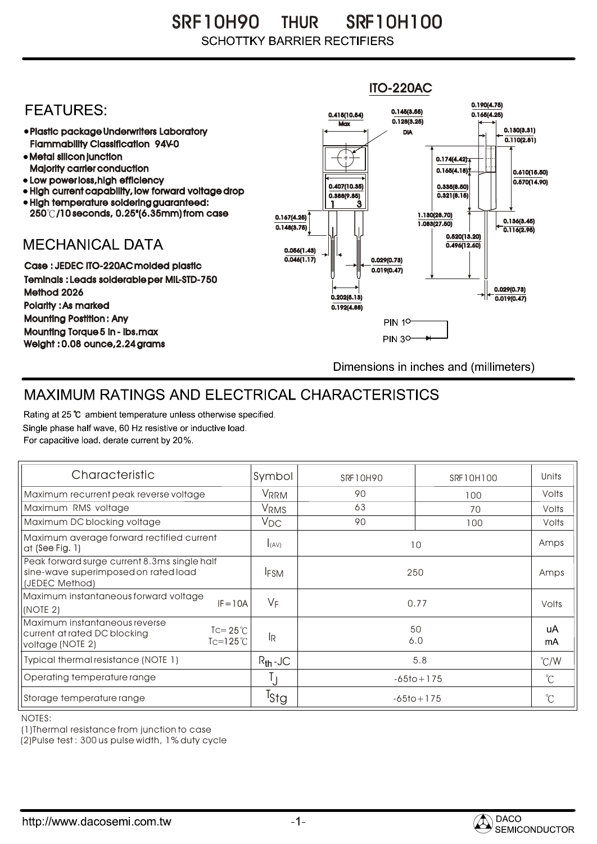SRF 10H90 SRF10H100 THUR **SCHOTTKY BARRIER RECTIFIERS** 

## ITO-220AC0.190(4.75) **FEATURES:** 0.145(3.55) 0.415(10.54) 0.165(4.25)  $Max \overline{0.128(3.25)}$ 0.130(3.31) Plastic package Underwriters Laboratory DIA  $\overline{0.110(2.81)}$ Flammability Classification 94V-0 Metal silicon junction  $0.174(4.42)$ Majority carrier conduction  $0.165(4.18)$ 0.610(15.50) • Low power loss, high efficiency  $0.570(14.90)$ 0.407(10.35) 0.335(8.50) • High current capability, low forward voltage drop  $0.321(8.15)$ 0.388(9.85) High temperature soldering guaranteed: 1 3 250 /10 seconds, 0.25"(6.35mm) from case 0.167(4.25) 1.130(28.70) 0.136(3.45) 0.148(3.75) 1.083(27.50) 0.116(2.95) 0.520(13.20) **MECHANICAL DATA**  $0.496(12.60)$ 0.056(1.43)  $\overline{0.046(1.17)}$   $\overline{ }$   $\parallel$   $\parallel$   $\parallel$  0.029(0.73) Case : JEDEC ITO-220AC molded plastic 0.019(0.47) Teminals : Leads solderable per MIL-STD-750 0.029(0.73) Method 2026  $0.202(5.13)$   $\rightarrow$   $\mid$   $\leftarrow$   $\frac{}{0.019(0.47)}$ Polarity : As marked 0.192(4.88) Mounting Postition : Any **PIN 10** Mounting Torque 5 in - lbs.max **PIN 30-**Weight : 0.08 ounce,2.24 grams Dimensions in inches and (millimeters)

## MAXIMUM RATINGS AND ELECTRICAL CHARACTERISTICS

Rating at 25 °C ambient temperature unless otherwise specified. Single phase half wave, 60 Hz resistive or inductive load. For capacitive load, derate current by 20%.

| Characteristic                                                                                                                     | Symbol           | SRF10H90       | SRF10H100 | Units         |
|------------------------------------------------------------------------------------------------------------------------------------|------------------|----------------|-----------|---------------|
| Maximum recurrent peak reverse voltage                                                                                             | VRRM             | 90             | 100       | Volts         |
| Maximum RMS voltage                                                                                                                | V <sub>RMS</sub> | 63             | 70        | Volts         |
| Maximum DC blocking voltage                                                                                                        | $V_{DC}$         | 90             | 100       | Volts         |
| Maximum average forward rectified current<br>at (See Fig. 1)                                                                       | I(AV)            | 10             |           | Amps          |
| Peak forward surge current 8.3ms single half<br>sine-wave superimposed on rated load<br>(JEDEC Method)                             | <b>IFSM</b>      | 250            |           | Amps          |
| Maximum instantaneous forward voltage<br>$IF = 10A$<br>(NOTE 2)                                                                    | $V_F$            | 0.77           |           | Volts         |
| Maximum instantaneous reverse<br>$\text{I} = 25^{\circ}$ C<br>current at rated DC blocking<br>$Tc=125^\circ C$<br>voltage (NOTE 2) | <b>IR</b>        | 50<br>6.0      |           | uA<br>mA      |
| Typical thermal resistance (NOTE 1)                                                                                                | $R_{th}$ -JC     | 5.8            |           | $\degree$ C/W |
| Operating temperature range                                                                                                        |                  | $-65$ to + 175 |           | $^{\circ}C$   |
| Storage temperature range                                                                                                          | <sup>I</sup> Stg | $-65$ to + 175 |           | °C            |

NOTES:

(1)Thermal resistance from junction to case

(2)Pulse test : 300 us pulse width, 1% duty cycle